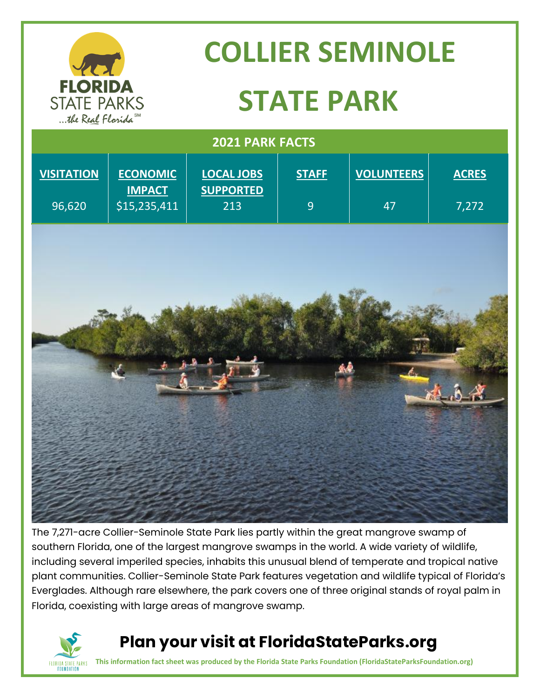

# **COLLIER SEMINOLE STATE PARK**

| 2021 PARK FACTS   |                                  |                                       |                |                   |              |
|-------------------|----------------------------------|---------------------------------------|----------------|-------------------|--------------|
| <b>VISITATION</b> | <b>ECONOMIC</b><br><b>IMPACT</b> | <b>LOCAL JOBS</b><br><b>SUPPORTED</b> | <b>STAFF</b>   | <b>VOLUNTEERS</b> | <b>ACRES</b> |
| 96,620            | \$15,235,411                     | 213                                   | $\overline{9}$ | 47                | 7,272        |
|                   |                                  |                                       |                |                   |              |
|                   |                                  |                                       |                |                   |              |
|                   |                                  |                                       |                |                   |              |
|                   |                                  |                                       |                |                   |              |
|                   |                                  |                                       |                |                   |              |
|                   |                                  |                                       |                |                   |              |
|                   |                                  |                                       |                |                   |              |
|                   |                                  |                                       |                |                   |              |
|                   |                                  |                                       |                |                   |              |
|                   |                                  |                                       |                |                   |              |
|                   |                                  |                                       |                |                   |              |
|                   |                                  |                                       |                |                   |              |

The 7,271-acre Collier-Seminole State Park lies partly within the great mangrove swamp of southern Florida, one of the largest mangrove swamps in the world. A wide variety of wildlife, including several imperiled species, inhabits this unusual blend of temperate and tropical native plant communities. Collier-Seminole State Park features vegetation and wildlife typical of Florida's Everglades. Although rare elsewhere, the park covers one of three original stands of royal palm in Florida, coexisting with large areas of mangrove swamp.



### **Plan your visit at FloridaStateParks.org**

**This information fact sheet was produced by the Florida State Parks Foundation (FloridaStateParksFoundation.org)**